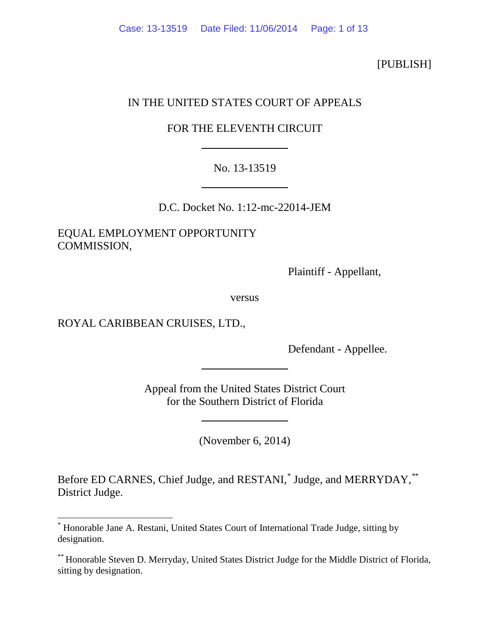[PUBLISH]

## IN THE UNITED STATES COURT OF APPEALS

## FOR THE ELEVENTH CIRCUIT

## No. 13-13519

D.C. Docket No. 1:12-mc-22014-JEM

EQUAL EMPLOYMENT OPPORTUNITY COMMISSION,

Plaintiff - Appellant,

versus

### ROYAL CARIBBEAN CRUISES, LTD.,

Defendant - Appellee.

Appeal from the United States District Court for the Southern District of Florida

(November 6, 2014)

Before ED CARNES, Chief Judge, and RESTANI,<sup>[\\*](#page-0-0)</sup> Judge, and MERRYDAY,[\\*\\*](#page-0-1) District Judge.

<span id="page-0-0"></span> <sup>\*</sup> Honorable Jane A. Restani, United States Court of International Trade Judge, sitting by designation.

<span id="page-0-1"></span><sup>\*\*</sup> Honorable Steven D. Merryday, United States District Judge for the Middle District of Florida, sitting by designation.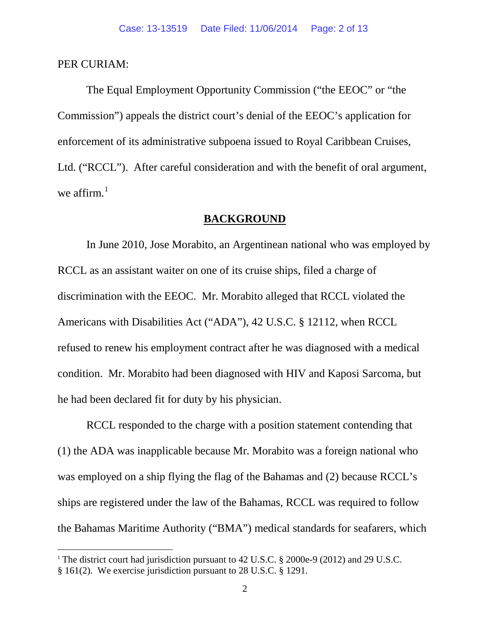#### PER CURIAM:

The Equal Employment Opportunity Commission ("the EEOC" or "the Commission") appeals the district court's denial of the EEOC's application for enforcement of its administrative subpoena issued to Royal Caribbean Cruises, Ltd. ("RCCL"). After careful consideration and with the benefit of oral argument, we affirm. $<sup>1</sup>$  $<sup>1</sup>$  $<sup>1</sup>$ </sup>

#### **BACKGROUND**

In June 2010, Jose Morabito, an Argentinean national who was employed by RCCL as an assistant waiter on one of its cruise ships, filed a charge of discrimination with the EEOC. Mr. Morabito alleged that RCCL violated the Americans with Disabilities Act ("ADA"), 42 U.S.C. § 12112, when RCCL refused to renew his employment contract after he was diagnosed with a medical condition. Mr. Morabito had been diagnosed with HIV and Kaposi Sarcoma, but he had been declared fit for duty by his physician.

RCCL responded to the charge with a position statement contending that (1) the ADA was inapplicable because Mr. Morabito was a foreign national who was employed on a ship flying the flag of the Bahamas and (2) because RCCL's ships are registered under the law of the Bahamas, RCCL was required to follow the Bahamas Maritime Authority ("BMA") medical standards for seafarers, which

<span id="page-1-0"></span><sup>&</sup>lt;sup>1</sup> The district court had jurisdiction pursuant to 42 U.S.C. § 2000e-9 (2012) and 29 U.S.C. § 161(2). We exercise jurisdiction pursuant to 28 U.S.C. § 1291.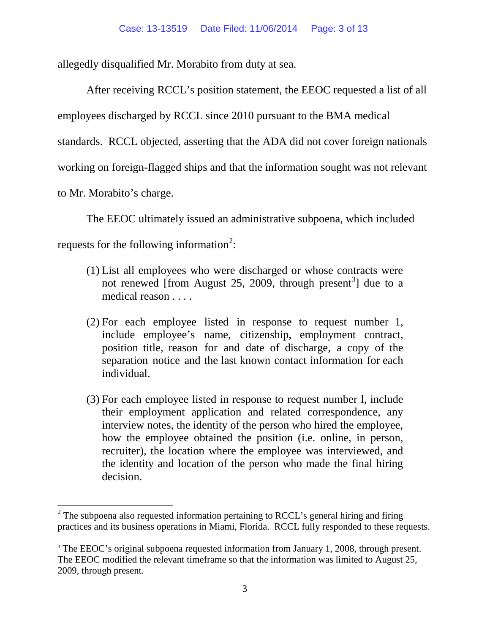allegedly disqualified Mr. Morabito from duty at sea.

After receiving RCCL's position statement, the EEOC requested a list of all employees discharged by RCCL since 2010 pursuant to the BMA medical standards. RCCL objected, asserting that the ADA did not cover foreign nationals working on foreign-flagged ships and that the information sought was not relevant to Mr. Morabito's charge.

The EEOC ultimately issued an administrative subpoena, which included requests for the following information<sup>[2](#page-2-0)</sup>:

- (1) List all employees who were discharged or whose contracts were not renewed [from August 25, 2009, through present<sup>[3](#page-2-1)</sup>] due to a medical reason . . . .
- (2) For each employee listed in response to request number 1, include employee's name, citizenship, employment contract, position title, reason for and date of discharge, a copy of the separation notice and the last known contact information for each individual.
- (3) For each employee listed in response to request number l, include their employment application and related correspondence, any interview notes, the identity of the person who hired the employee, how the employee obtained the position (i.e. online, in person, recruiter), the location where the employee was interviewed, and the identity and location of the person who made the final hiring decision.

<span id="page-2-0"></span> $2$  The subpoena also requested information pertaining to RCCL's general hiring and firing practices and its business operations in Miami, Florida. RCCL fully responded to these requests.

<span id="page-2-1"></span><sup>&</sup>lt;sup>3</sup> The EEOC's original subpoena requested information from January 1, 2008, through present. The EEOC modified the relevant timeframe so that the information was limited to August 25, 2009, through present.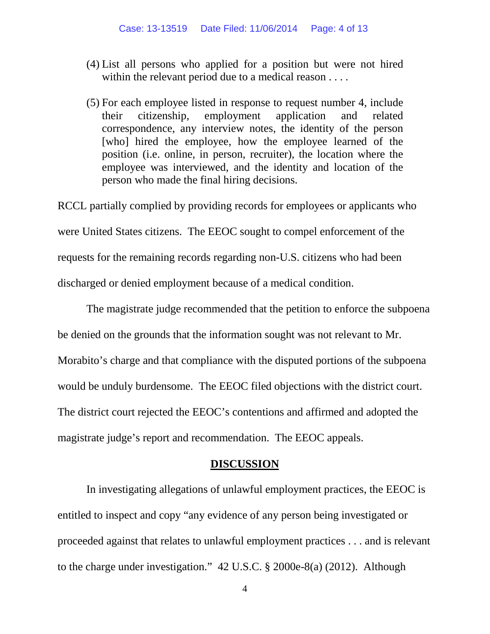- (4) List all persons who applied for a position but were not hired within the relevant period due to a medical reason . . . .
- (5) For each employee listed in response to request number 4, include their citizenship, employment application and related correspondence, any interview notes, the identity of the person [who] hired the employee, how the employee learned of the position (i.e. online, in person, recruiter), the location where the employee was interviewed, and the identity and location of the person who made the final hiring decisions.

RCCL partially complied by providing records for employees or applicants who were United States citizens. The EEOC sought to compel enforcement of the requests for the remaining records regarding non-U.S. citizens who had been discharged or denied employment because of a medical condition.

The magistrate judge recommended that the petition to enforce the subpoena be denied on the grounds that the information sought was not relevant to Mr. Morabito's charge and that compliance with the disputed portions of the subpoena would be unduly burdensome. The EEOC filed objections with the district court. The district court rejected the EEOC's contentions and affirmed and adopted the magistrate judge's report and recommendation. The EEOC appeals.

#### **DISCUSSION**

In investigating allegations of unlawful employment practices, the EEOC is entitled to inspect and copy "any evidence of any person being investigated or proceeded against that relates to unlawful employment practices . . . and is relevant to the charge under investigation." 42 U.S.C. § 2000e-8(a) (2012). Although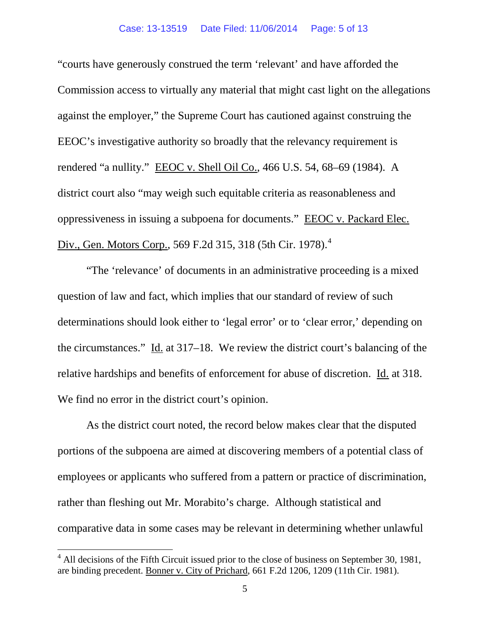"courts have generously construed the term 'relevant' and have afforded the Commission access to virtually any material that might cast light on the allegations against the employer," the Supreme Court has cautioned against construing the EEOC's investigative authority so broadly that the relevancy requirement is rendered "a nullity." EEOC v. Shell Oil Co., 466 U.S. 54, 68–69 (1984). A district court also "may weigh such equitable criteria as reasonableness and oppressiveness in issuing a subpoena for documents." EEOC v. Packard Elec. Div., Gen. Motors Corp., 569 F.2d 315, 318 (5th Cir. 1978).<sup>[4](#page-4-0)</sup>

"The 'relevance' of documents in an administrative proceeding is a mixed question of law and fact, which implies that our standard of review of such determinations should look either to 'legal error' or to 'clear error,' depending on the circumstances." Id. at 317–18. We review the district court's balancing of the relative hardships and benefits of enforcement for abuse of discretion. Id. at 318. We find no error in the district court's opinion.

As the district court noted, the record below makes clear that the disputed portions of the subpoena are aimed at discovering members of a potential class of employees or applicants who suffered from a pattern or practice of discrimination, rather than fleshing out Mr. Morabito's charge. Although statistical and comparative data in some cases may be relevant in determining whether unlawful

<span id="page-4-0"></span> $4$  All decisions of the Fifth Circuit issued prior to the close of business on September 30, 1981, are binding precedent. Bonner v. City of Prichard, 661 F.2d 1206, 1209 (11th Cir. 1981).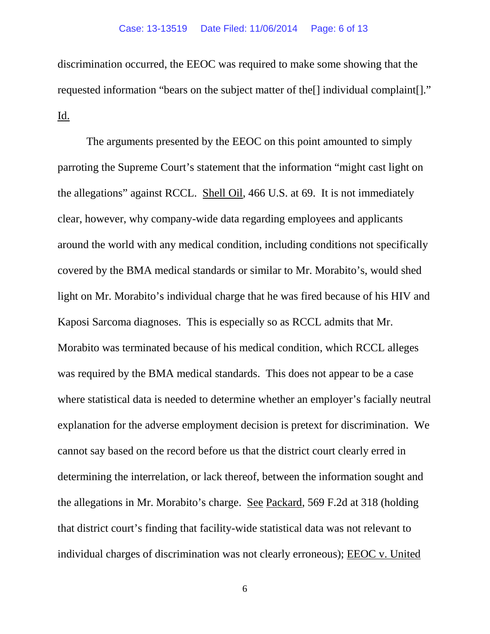discrimination occurred, the EEOC was required to make some showing that the requested information "bears on the subject matter of the[] individual complaint[]." Id.

The arguments presented by the EEOC on this point amounted to simply parroting the Supreme Court's statement that the information "might cast light on the allegations" against RCCL. Shell Oil, 466 U.S. at 69. It is not immediately clear, however, why company-wide data regarding employees and applicants around the world with any medical condition, including conditions not specifically covered by the BMA medical standards or similar to Mr. Morabito's, would shed light on Mr. Morabito's individual charge that he was fired because of his HIV and Kaposi Sarcoma diagnoses. This is especially so as RCCL admits that Mr. Morabito was terminated because of his medical condition, which RCCL alleges was required by the BMA medical standards. This does not appear to be a case where statistical data is needed to determine whether an employer's facially neutral explanation for the adverse employment decision is pretext for discrimination. We cannot say based on the record before us that the district court clearly erred in determining the interrelation, or lack thereof, between the information sought and the allegations in Mr. Morabito's charge. See Packard, 569 F.2d at 318 (holding that district court's finding that facility-wide statistical data was not relevant to individual charges of discrimination was not clearly erroneous); EEOC v. United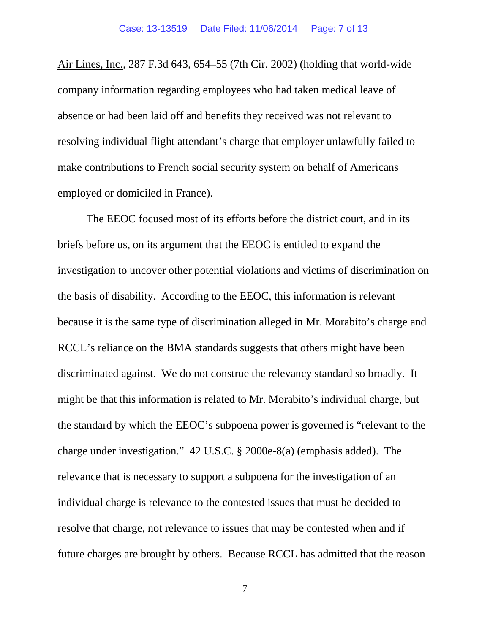Air Lines, Inc., 287 F.3d 643, 654–55 (7th Cir. 2002) (holding that world-wide company information regarding employees who had taken medical leave of absence or had been laid off and benefits they received was not relevant to resolving individual flight attendant's charge that employer unlawfully failed to make contributions to French social security system on behalf of Americans employed or domiciled in France).

The EEOC focused most of its efforts before the district court, and in its briefs before us, on its argument that the EEOC is entitled to expand the investigation to uncover other potential violations and victims of discrimination on the basis of disability. According to the EEOC, this information is relevant because it is the same type of discrimination alleged in Mr. Morabito's charge and RCCL's reliance on the BMA standards suggests that others might have been discriminated against. We do not construe the relevancy standard so broadly. It might be that this information is related to Mr. Morabito's individual charge, but the standard by which the EEOC's subpoena power is governed is "relevant to the charge under investigation." 42 U.S.C. § 2000e-8(a) (emphasis added). The relevance that is necessary to support a subpoena for the investigation of an individual charge is relevance to the contested issues that must be decided to resolve that charge, not relevance to issues that may be contested when and if future charges are brought by others. Because RCCL has admitted that the reason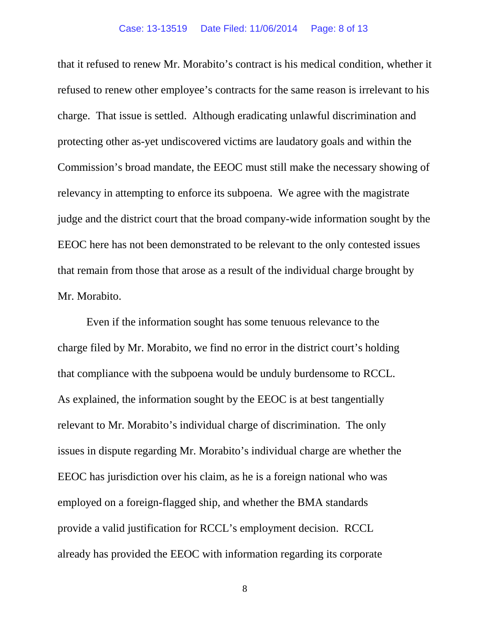that it refused to renew Mr. Morabito's contract is his medical condition, whether it refused to renew other employee's contracts for the same reason is irrelevant to his charge. That issue is settled. Although eradicating unlawful discrimination and protecting other as-yet undiscovered victims are laudatory goals and within the Commission's broad mandate, the EEOC must still make the necessary showing of relevancy in attempting to enforce its subpoena. We agree with the magistrate judge and the district court that the broad company-wide information sought by the EEOC here has not been demonstrated to be relevant to the only contested issues that remain from those that arose as a result of the individual charge brought by Mr. Morabito.

Even if the information sought has some tenuous relevance to the charge filed by Mr. Morabito, we find no error in the district court's holding that compliance with the subpoena would be unduly burdensome to RCCL. As explained, the information sought by the EEOC is at best tangentially relevant to Mr. Morabito's individual charge of discrimination. The only issues in dispute regarding Mr. Morabito's individual charge are whether the EEOC has jurisdiction over his claim, as he is a foreign national who was employed on a foreign-flagged ship, and whether the BMA standards provide a valid justification for RCCL's employment decision. RCCL already has provided the EEOC with information regarding its corporate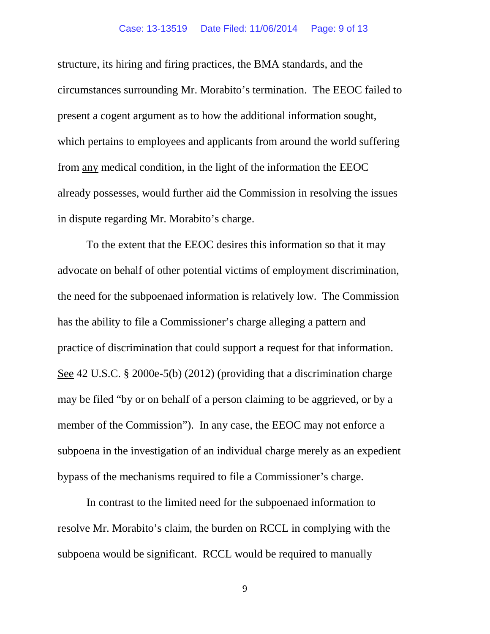#### Case: 13-13519 Date Filed: 11/06/2014 Page: 9 of 13

structure, its hiring and firing practices, the BMA standards, and the circumstances surrounding Mr. Morabito's termination. The EEOC failed to present a cogent argument as to how the additional information sought, which pertains to employees and applicants from around the world suffering from any medical condition, in the light of the information the EEOC already possesses, would further aid the Commission in resolving the issues in dispute regarding Mr. Morabito's charge.

To the extent that the EEOC desires this information so that it may advocate on behalf of other potential victims of employment discrimination, the need for the subpoenaed information is relatively low. The Commission has the ability to file a Commissioner's charge alleging a pattern and practice of discrimination that could support a request for that information. See 42 U.S.C. § 2000e-5(b) (2012) (providing that a discrimination charge may be filed "by or on behalf of a person claiming to be aggrieved, or by a member of the Commission"). In any case, the EEOC may not enforce a subpoena in the investigation of an individual charge merely as an expedient bypass of the mechanisms required to file a Commissioner's charge.

In contrast to the limited need for the subpoenaed information to resolve Mr. Morabito's claim, the burden on RCCL in complying with the subpoena would be significant. RCCL would be required to manually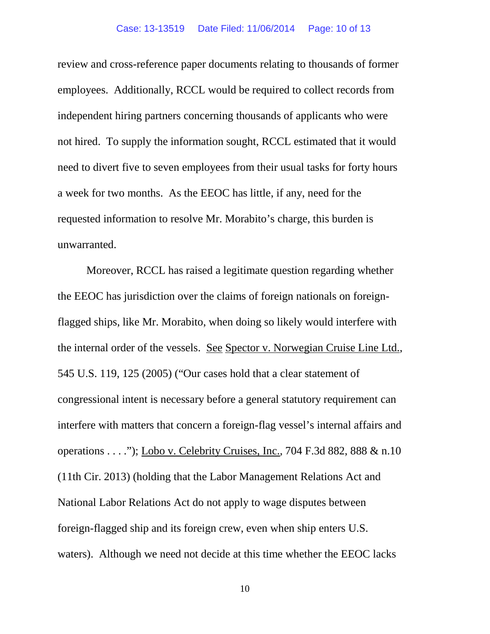review and cross-reference paper documents relating to thousands of former employees. Additionally, RCCL would be required to collect records from independent hiring partners concerning thousands of applicants who were not hired. To supply the information sought, RCCL estimated that it would need to divert five to seven employees from their usual tasks for forty hours a week for two months. As the EEOC has little, if any, need for the requested information to resolve Mr. Morabito's charge, this burden is unwarranted.

Moreover, RCCL has raised a legitimate question regarding whether the EEOC has jurisdiction over the claims of foreign nationals on foreignflagged ships, like Mr. Morabito, when doing so likely would interfere with the internal order of the vessels. See Spector v. Norwegian Cruise Line Ltd., 545 U.S. 119, 125 (2005) ("Our cases hold that a clear statement of congressional intent is necessary before a general statutory requirement can interfere with matters that concern a foreign-flag vessel's internal affairs and operations . . . ."); Lobo v. Celebrity Cruises, Inc., 704 F.3d 882, 888 & n.10 (11th Cir. 2013) (holding that the Labor Management Relations Act and National Labor Relations Act do not apply to wage disputes between foreign-flagged ship and its foreign crew, even when ship enters U.S. waters). Although we need not decide at this time whether the EEOC lacks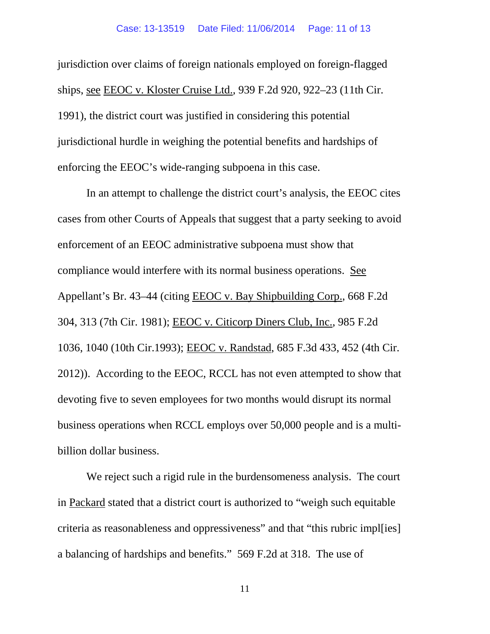jurisdiction over claims of foreign nationals employed on foreign-flagged ships, see EEOC v. Kloster Cruise Ltd.*,* 939 F.2d 920, 922–23 (11th Cir. 1991), the district court was justified in considering this potential jurisdictional hurdle in weighing the potential benefits and hardships of enforcing the EEOC's wide-ranging subpoena in this case.

In an attempt to challenge the district court's analysis, the EEOC cites cases from other Courts of Appeals that suggest that a party seeking to avoid enforcement of an EEOC administrative subpoena must show that compliance would interfere with its normal business operations. See Appellant's Br. 43–44 (citing EEOC v. Bay Shipbuilding Corp., 668 F.2d 304, 313 (7th Cir. 1981); EEOC v. Citicorp Diners Club, Inc., 985 F.2d 1036, 1040 (10th Cir.1993); EEOC v. Randstad, 685 F.3d 433, 452 (4th Cir. 2012)). According to the EEOC, RCCL has not even attempted to show that devoting five to seven employees for two months would disrupt its normal business operations when RCCL employs over 50,000 people and is a multibillion dollar business.

We reject such a rigid rule in the burdensomeness analysis. The court in Packard stated that a district court is authorized to "weigh such equitable criteria as reasonableness and oppressiveness" and that "this rubric impl[ies] a balancing of hardships and benefits." 569 F.2d at 318. The use of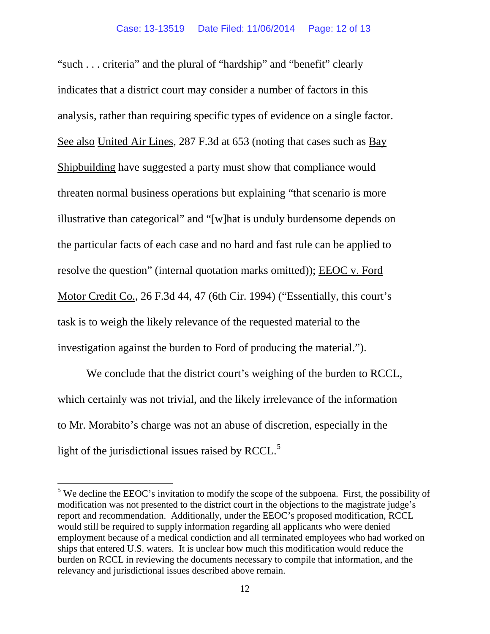"such . . . criteria" and the plural of "hardship" and "benefit" clearly indicates that a district court may consider a number of factors in this analysis, rather than requiring specific types of evidence on a single factor. See also United Air Lines, 287 F.3d at 653 (noting that cases such as Bay Shipbuilding have suggested a party must show that compliance would threaten normal business operations but explaining "that scenario is more illustrative than categorical" and "[w]hat is unduly burdensome depends on the particular facts of each case and no hard and fast rule can be applied to resolve the question" (internal quotation marks omitted)); EEOC v. Ford Motor Credit Co., 26 F.3d 44, 47 (6th Cir. 1994) ("Essentially, this court's task is to weigh the likely relevance of the requested material to the investigation against the burden to Ford of producing the material.").

We conclude that the district court's weighing of the burden to RCCL, which certainly was not trivial, and the likely irrelevance of the information to Mr. Morabito's charge was not an abuse of discretion, especially in the light of the jurisdictional issues raised by RCCL. $<sup>5</sup>$  $<sup>5</sup>$  $<sup>5</sup>$ </sup>

<span id="page-11-0"></span><sup>&</sup>lt;sup>5</sup> We decline the EEOC's invitation to modify the scope of the subpoena. First, the possibility of modification was not presented to the district court in the objections to the magistrate judge's report and recommendation. Additionally, under the EEOC's proposed modification, RCCL would still be required to supply information regarding all applicants who were denied employment because of a medical condiction and all terminated employees who had worked on ships that entered U.S. waters. It is unclear how much this modification would reduce the burden on RCCL in reviewing the documents necessary to compile that information, and the relevancy and jurisdictional issues described above remain.